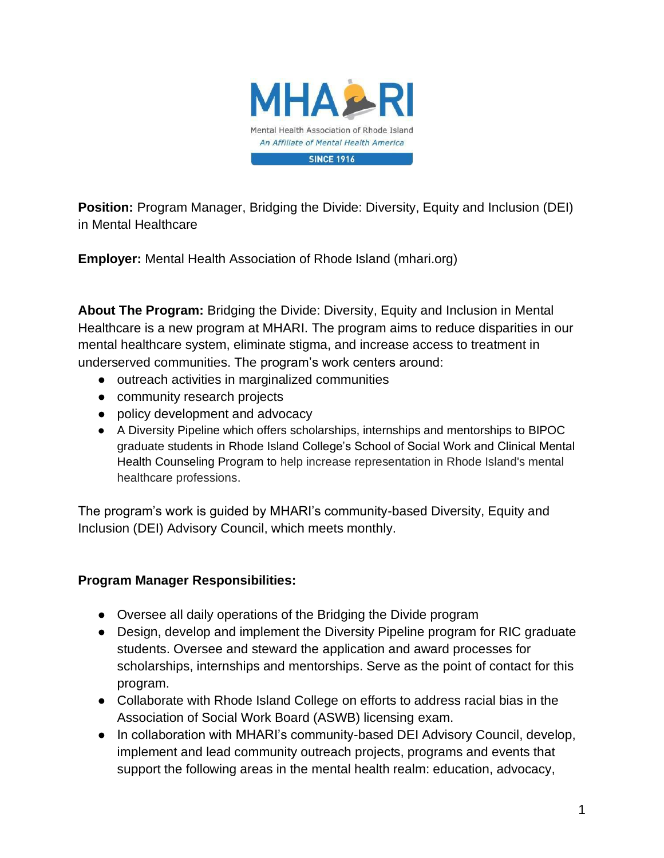

**Position:** Program Manager, Bridging the Divide: Diversity, Equity and Inclusion (DEI) in Mental Healthcare

**Employer:** Mental Health Association of Rhode Island (mhari.org)

**About The Program:** Bridging the Divide: Diversity, Equity and Inclusion in Mental Healthcare is a new program at MHARI. The program aims to reduce disparities in our mental healthcare system, eliminate stigma, and increase access to treatment in underserved communities. The program's work centers around:

- outreach activities in marginalized communities
- community research projects
- policy development and advocacy
- A Diversity Pipeline which offers scholarships, internships and mentorships to BIPOC graduate students in Rhode Island College's School of Social Work and Clinical Mental Health Counseling Program to help increase representation in Rhode Island's mental healthcare professions.

The program's work is guided by MHARI's community-based Diversity, Equity and Inclusion (DEI) Advisory Council, which meets monthly.

## **Program Manager Responsibilities:**

- Oversee all daily operations of the Bridging the Divide program
- Design, develop and implement the Diversity Pipeline program for RIC graduate students. Oversee and steward the application and award processes for scholarships, internships and mentorships. Serve as the point of contact for this program.
- Collaborate with Rhode Island College on efforts to address racial bias in the Association of Social Work Board (ASWB) licensing exam.
- In collaboration with MHARI's community-based DEI Advisory Council, develop, implement and lead community outreach projects, programs and events that support the following areas in the mental health realm: education, advocacy,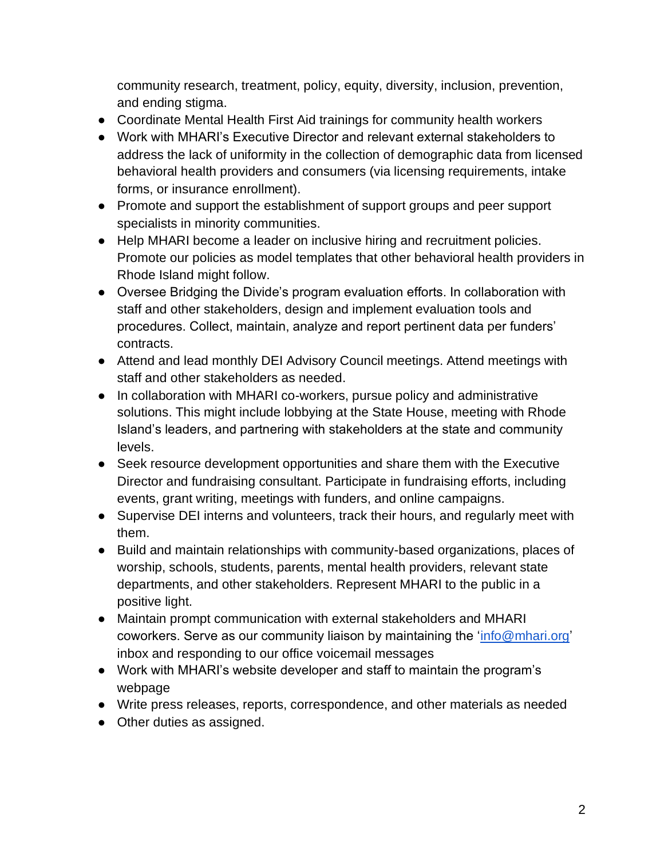community research, treatment, policy, equity, diversity, inclusion, prevention, and ending stigma.

- Coordinate Mental Health First Aid trainings for community health workers
- Work with MHARI's Executive Director and relevant external stakeholders to address the lack of uniformity in the collection of demographic data from licensed behavioral health providers and consumers (via licensing requirements, intake forms, or insurance enrollment).
- Promote and support the establishment of support groups and peer support specialists in minority communities.
- Help MHARI become a leader on inclusive hiring and recruitment policies. Promote our policies as model templates that other behavioral health providers in Rhode Island might follow.
- Oversee Bridging the Divide's program evaluation efforts. In collaboration with staff and other stakeholders, design and implement evaluation tools and procedures. Collect, maintain, analyze and report pertinent data per funders' contracts.
- Attend and lead monthly DEI Advisory Council meetings. Attend meetings with staff and other stakeholders as needed.
- In collaboration with MHARI co-workers, pursue policy and administrative solutions. This might include lobbying at the State House, meeting with Rhode Island's leaders, and partnering with stakeholders at the state and community levels.
- Seek resource development opportunities and share them with the Executive Director and fundraising consultant. Participate in fundraising efforts, including events, grant writing, meetings with funders, and online campaigns.
- Supervise DEI interns and volunteers, track their hours, and regularly meet with them.
- Build and maintain relationships with community-based organizations, places of worship, schools, students, parents, mental health providers, relevant state departments, and other stakeholders. Represent MHARI to the public in a positive light.
- Maintain prompt communication with external stakeholders and MHARI coworkers. Serve as our community liaison by maintaining the ['info@mhari.org'](mailto:info@mhari.org) inbox and responding to our office voicemail messages
- Work with MHARI's website developer and staff to maintain the program's webpage
- Write press releases, reports, correspondence, and other materials as needed
- Other duties as assigned.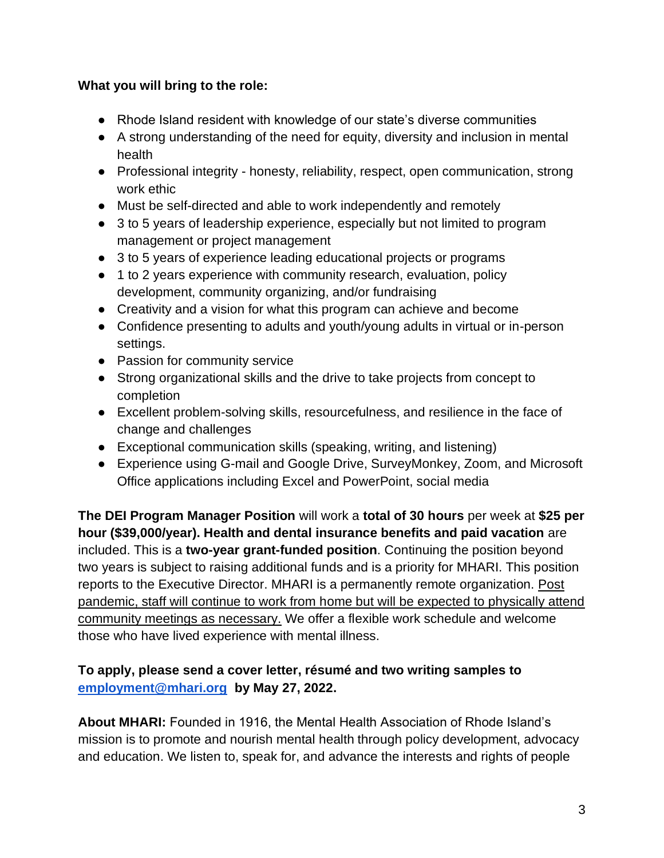## **What you will bring to the role:**

- Rhode Island resident with knowledge of our state's diverse communities
- A strong understanding of the need for equity, diversity and inclusion in mental health
- Professional integrity honesty, reliability, respect, open communication, strong work ethic
- Must be self-directed and able to work independently and remotely
- 3 to 5 years of leadership experience, especially but not limited to program management or project management
- 3 to 5 years of experience leading educational projects or programs
- 1 to 2 years experience with community research, evaluation, policy development, community organizing, and/or fundraising
- Creativity and a vision for what this program can achieve and become
- Confidence presenting to adults and youth/young adults in virtual or in-person settings.
- Passion for community service
- Strong organizational skills and the drive to take projects from concept to completion
- Excellent problem-solving skills, resourcefulness, and resilience in the face of change and challenges
- Exceptional communication skills (speaking, writing, and listening)
- Experience using G-mail and Google Drive, SurveyMonkey, Zoom, and Microsoft Office applications including Excel and PowerPoint, social media

**The DEI Program Manager Position** will work a **total of 30 hours** per week at **\$25 per hour (\$39,000/year). Health and dental insurance benefits and paid vacation** are included. This is a **two-year grant-funded position**. Continuing the position beyond two years is subject to raising additional funds and is a priority for MHARI. This position reports to the Executive Director. MHARI is a permanently remote organization. Post pandemic, staff will continue to work from home but will be expected to physically attend community meetings as necessary. We offer a flexible work schedule and welcome those who have lived experience with mental illness.

## **To apply, please send a cover letter, résumé and two writing samples to [employment@mhari.org](mailto:employment@mhari.org) by May 27, 2022.**

**About MHARI:** Founded in 1916, the Mental Health Association of Rhode Island's mission is to promote and nourish mental health through policy development, advocacy and education. We listen to, speak for, and advance the interests and rights of people